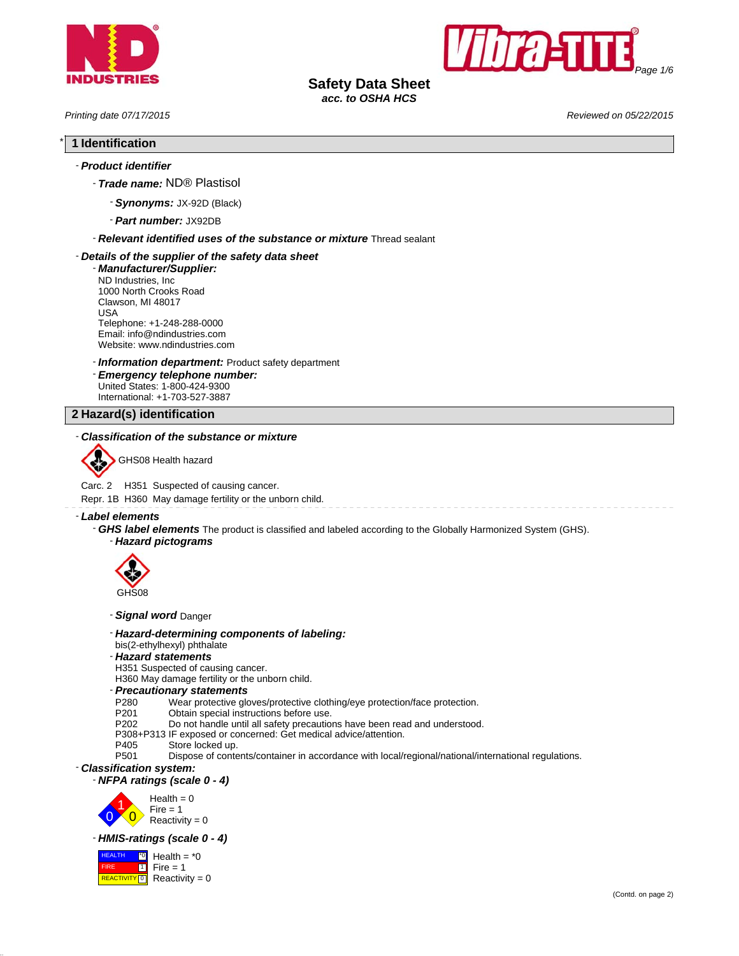



**Safety Data Sheet**

*acc. to OSHA HCS*

*Printing date 07/17/2015 Reviewed on 05/22/2015*

# \* **1 Identification**

# - *Product identifier*

- *Trade name:* ND® Plastisol
	- *Synonyms:* JX-92D (Black)
	- *Part number:* JX92DB

- *Relevant identified uses of the substance or mixture* Thread sealant

# - *Details of the supplier of the safety data sheet*

- *Manufacturer/Supplier:* ND Industries, Inc 1000 North Crooks Road Clawson, MI 48017 USA Telephone: +1-248-288-0000 Email: info@ndindustries.com Website: www.ndindustries.com

- *Information department:* Product safety department

- *Emergency telephone number:* United States: 1-800-424-9300 International: +1-703-527-3887

**2 Hazard(s) identification**

# - *Classification of the substance or mixture*



GHS08 Health hazard

Carc. 2 H351 Suspected of causing cancer.

Repr. 1B H360 May damage fertility or the unborn child.

# - *Label elements*

- *GHS label elements* The product is classified and labeled according to the Globally Harmonized System (GHS).
	- *Hazard pictograms*



- *Signal word* Danger
- *Hazard-determining components of labeling:*
- bis(2-ethylhexyl) phthalate

#### - *Hazard statements*

H351 Suspected of causing cancer.

H360 May damage fertility or the unborn child.

# - *Precautionary statements*

P280 Wear protective gloves/protective clothing/eye protection/face protection.<br>P201 Obtain special instructions before use.

- 
- P201 Obtain special instructions before use.<br>P202 Do not handle until all safety precautio Do not handle until all safety precautions have been read and understood.
- P308+P313 IF exposed or concerned: Get medical advice/attention.
- P405 Store locked up.<br>P501 Dispose of conte
	- Dispose of contents/container in accordance with local/regional/national/international regulations.

#### - *Classification system:*

#### - *NFPA ratings (scale 0 - 4)*



#### - *HMIS-ratings (scale 0 - 4)*

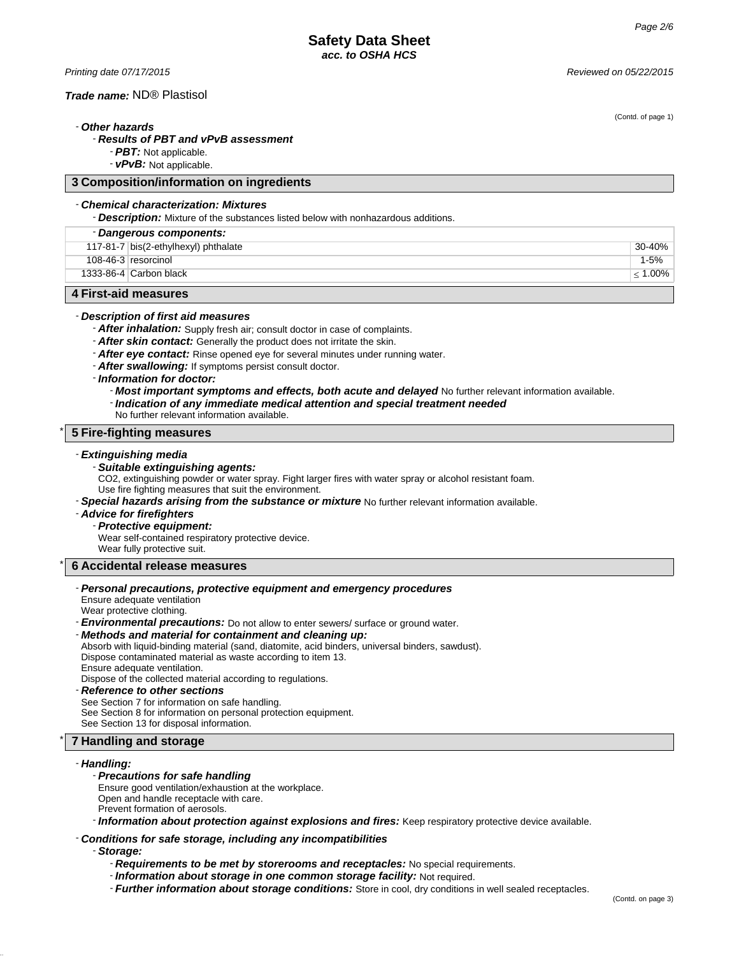*Printing date 07/17/2015 Reviewed on 05/22/2015*

#### *Trade name:* ND® Plastisol

(Contd. of page 1)

# - *Other hazards*

# - *Results of PBT and vPvB assessment*

- *PBT:* Not applicable.

- *vPvB:* Not applicable.

# **3 Composition/information on ingredients**

# - *Chemical characterization: Mixtures*

- *Description:* Mixture of the substances listed below with nonhazardous additions.

| - Dangerous components:                          |                                      |            |
|--------------------------------------------------|--------------------------------------|------------|
|                                                  | 117-81-7 bis(2-ethylhexyl) phthalate | 30-40%     |
|                                                  | $108-46-3$ resorcinol                | $1 - 5%$   |
|                                                  | 1333-86-4 Carbon black               | $< 1.00\%$ |
| $\overline{A}$ Final and magnetic $\overline{A}$ |                                      |            |

# **4 First-aid measures**

# - *Description of first aid measures*

- *After inhalation:* Supply fresh air; consult doctor in case of complaints.

- *After skin contact:* Generally the product does not irritate the skin.
- *After eye contact:* Rinse opened eye for several minutes under running water.
- *After swallowing:* If symptoms persist consult doctor.
- *Information for doctor:*

#### - *Most important symptoms and effects, both acute and delayed* No further relevant information available.

- *Indication of any immediate medical attention and special treatment needed*
- No further relevant information available.

# \* **5 Fire-fighting measures**

#### - *Extinguishing media*

#### - *Suitable extinguishing agents:*

CO2, extinguishing powder or water spray. Fight larger fires with water spray or alcohol resistant foam. Use fire fighting measures that suit the environment.

- *Special hazards arising from the substance or mixture* No further relevant information available.

# - *Advice for firefighters*

- *Protective equipment:*

Wear self-contained respiratory protective device. Wear fully protective suit.

#### \* **6 Accidental release measures**

#### - *Personal precautions, protective equipment and emergency procedures*

Ensure adequate ventilation

Wear protective clothing.

- *Environmental precautions:* Do not allow to enter sewers/ surface or ground water.

# - *Methods and material for containment and cleaning up:*

- Absorb with liquid-binding material (sand, diatomite, acid binders, universal binders, sawdust). Dispose contaminated material as waste according to item 13. Ensure adequate ventilation.
- Dispose of the collected material according to regulations.

#### - *Reference to other sections*

See Section 7 for information on safe handling.

See Section 8 for information on personal protection equipment.

See Section 13 for disposal information.

# \* **7 Handling and storage**

#### - *Handling:*

#### - *Precautions for safe handling*

Ensure good ventilation/exhaustion at the workplace.

- Open and handle receptacle with care.
- Prevent formation of aerosols.

- *Information about protection against explosions and fires:* Keep respiratory protective device available.

#### - *Conditions for safe storage, including any incompatibilities*

- *Storage:*

- *Requirements to be met by storerooms and receptacles:* No special requirements.
- *Information about storage in one common storage facility:* Not required.
- *Further information about storage conditions:* Store in cool, dry conditions in well sealed receptacles.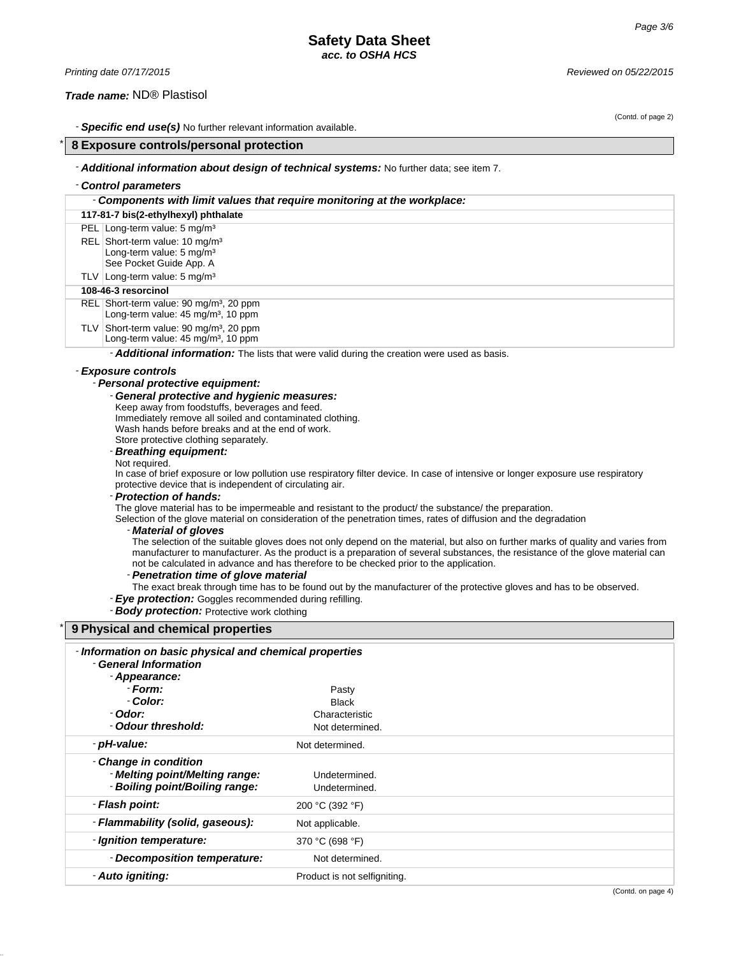# **Safety Data Sheet** *acc. to OSHA HCS*

| Printing date 07/17/2015                                                                                                                                                                                                    |                                                                                                       | Reviewed on 05/22/2015                                                                      |  |
|-----------------------------------------------------------------------------------------------------------------------------------------------------------------------------------------------------------------------------|-------------------------------------------------------------------------------------------------------|---------------------------------------------------------------------------------------------|--|
|                                                                                                                                                                                                                             | Trade name: ND® Plastisol                                                                             |                                                                                             |  |
|                                                                                                                                                                                                                             |                                                                                                       |                                                                                             |  |
|                                                                                                                                                                                                                             |                                                                                                       | (Contd. of page 2)                                                                          |  |
|                                                                                                                                                                                                                             |                                                                                                       | - <b>Specific end use(s)</b> No further relevant information available.                     |  |
|                                                                                                                                                                                                                             | 8 Exposure controls/personal protection                                                               |                                                                                             |  |
|                                                                                                                                                                                                                             |                                                                                                       | - Additional information about design of technical systems: No further data; see item 7.    |  |
|                                                                                                                                                                                                                             | - Control parameters                                                                                  |                                                                                             |  |
|                                                                                                                                                                                                                             |                                                                                                       | - Components with limit values that require monitoring at the workplace:                    |  |
|                                                                                                                                                                                                                             | 117-81-7 bis(2-ethylhexyl) phthalate                                                                  |                                                                                             |  |
|                                                                                                                                                                                                                             | PEL Long-term value: 5 mg/m <sup>3</sup>                                                              |                                                                                             |  |
|                                                                                                                                                                                                                             | REL Short-term value: 10 mg/m <sup>3</sup>                                                            |                                                                                             |  |
|                                                                                                                                                                                                                             | Long-term value: 5 mg/m <sup>3</sup><br>See Pocket Guide App. A                                       |                                                                                             |  |
|                                                                                                                                                                                                                             | TLV Long-term value: 5 mg/m <sup>3</sup>                                                              |                                                                                             |  |
|                                                                                                                                                                                                                             | 108-46-3 resorcinol                                                                                   |                                                                                             |  |
|                                                                                                                                                                                                                             | REL Short-term value: 90 mg/m <sup>3</sup> , 20 ppm<br>Long-term value: 45 mg/m <sup>3</sup> , 10 ppm |                                                                                             |  |
|                                                                                                                                                                                                                             | TLV Short-term value: 90 mg/m <sup>3</sup> , 20 ppm<br>Long-term value: 45 mg/m <sup>3</sup> , 10 ppm |                                                                                             |  |
|                                                                                                                                                                                                                             |                                                                                                       | - Additional information: The lists that were valid during the creation were used as basis. |  |
|                                                                                                                                                                                                                             | - Exposure controls                                                                                   |                                                                                             |  |
|                                                                                                                                                                                                                             | - Personal protective equipment:                                                                      |                                                                                             |  |
| - General protective and hygienic measures:                                                                                                                                                                                 |                                                                                                       |                                                                                             |  |
| Keep away from foodstuffs, beverages and feed.                                                                                                                                                                              |                                                                                                       |                                                                                             |  |
| Immediately remove all soiled and contaminated clothing.                                                                                                                                                                    |                                                                                                       |                                                                                             |  |
|                                                                                                                                                                                                                             | Wash hands before breaks and at the end of work.                                                      |                                                                                             |  |
|                                                                                                                                                                                                                             | Store protective clothing separately.<br>- Breathing equipment:                                       |                                                                                             |  |
|                                                                                                                                                                                                                             | Not required.                                                                                         |                                                                                             |  |
| In case of brief exposure or low pollution use respiratory filter device. In case of intensive or longer exposure use respiratory                                                                                           |                                                                                                       |                                                                                             |  |
| protective device that is independent of circulating air.                                                                                                                                                                   |                                                                                                       |                                                                                             |  |
| - Protection of hands:                                                                                                                                                                                                      |                                                                                                       |                                                                                             |  |
| The glove material has to be impermeable and resistant to the product/ the substance/ the preparation.<br>Selection of the glove material on consideration of the penetration times, rates of diffusion and the degradation |                                                                                                       |                                                                                             |  |
| - Material of gloves                                                                                                                                                                                                        |                                                                                                       |                                                                                             |  |
| The selection of the suitable gloves does not only depend on the material, but also on further marks of quality and varies from                                                                                             |                                                                                                       |                                                                                             |  |
| manufacturer to manufacturer. As the product is a preparation of several substances, the resistance of the glove material can                                                                                               |                                                                                                       |                                                                                             |  |
| not be calculated in advance and has therefore to be checked prior to the application.                                                                                                                                      |                                                                                                       |                                                                                             |  |
| - Penetration time of glove material<br>The exact break through time has to be found out by the manufacturer of the protective gloves and has to be observed.                                                               |                                                                                                       |                                                                                             |  |
|                                                                                                                                                                                                                             |                                                                                                       | - Eye protection: Goggles recommended during refilling.                                     |  |
|                                                                                                                                                                                                                             | <b>Body protection: Protective work clothing</b>                                                      |                                                                                             |  |
|                                                                                                                                                                                                                             | 9 Physical and chemical properties                                                                    |                                                                                             |  |
|                                                                                                                                                                                                                             |                                                                                                       |                                                                                             |  |
|                                                                                                                                                                                                                             | - Information on basic physical and chemical properties<br>- General Information                      |                                                                                             |  |
|                                                                                                                                                                                                                             | - Appearance:                                                                                         |                                                                                             |  |
|                                                                                                                                                                                                                             | - Form:                                                                                               | Pasty                                                                                       |  |
|                                                                                                                                                                                                                             | - Color:                                                                                              | <b>Black</b>                                                                                |  |
|                                                                                                                                                                                                                             | - Odor:                                                                                               | Characteristic                                                                              |  |
|                                                                                                                                                                                                                             | - Odour threshold:                                                                                    | Not determined.                                                                             |  |

- *pH-value:* Not determined.

- *Melting point/Melting range:* Undetermined. - *Boiling point/Boiling range:* Undetermined. - *Flash point:* 200 °C (392 °F) - **Flammability (solid, gaseous):** Not applicable. - *Ignition temperature:* 370 °C (698 °F)

- **Decomposition temperature:** Not determined. - **Auto igniting:** The *Product is not selfigniting*.

- *Change in condition*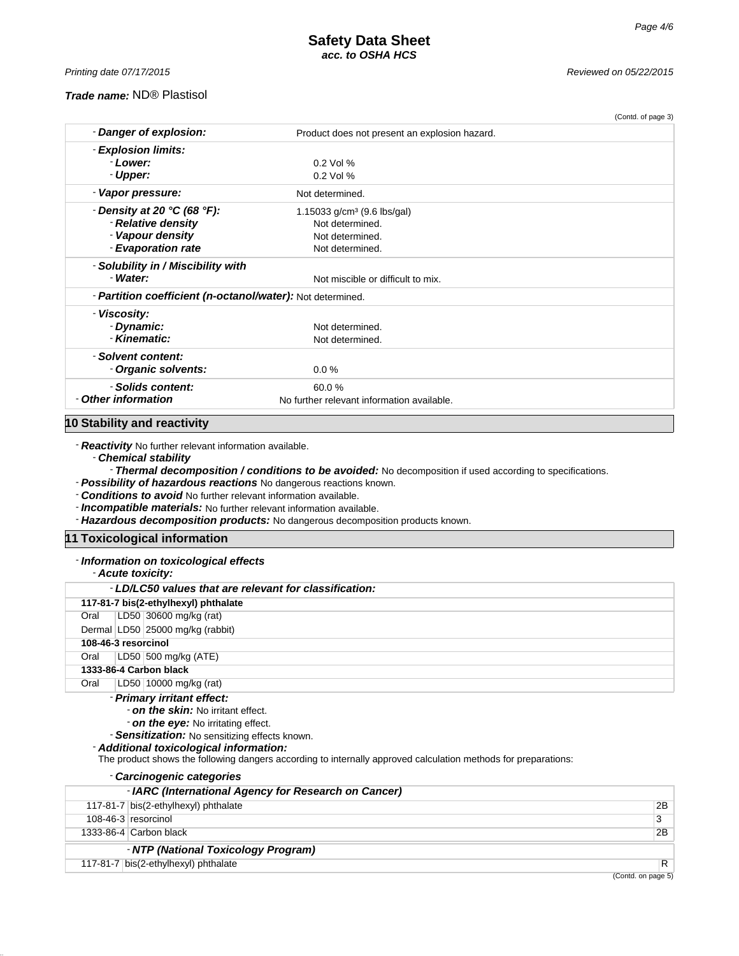*Printing date 07/17/2015 Reviewed on 05/22/2015*

#### *Trade name:* ND® Plastisol

|                                                                   |                                               | (Contd. of page 3) |
|-------------------------------------------------------------------|-----------------------------------------------|--------------------|
| - Danger of explosion:                                            | Product does not present an explosion hazard. |                    |
| - Explosion limits:                                               |                                               |                    |
| - Lower:                                                          | $0.2$ Vol %                                   |                    |
| - Upper:                                                          | $0.2$ Vol %                                   |                    |
| - Vapor pressure:                                                 | Not determined.                               |                    |
| - Density at 20 $°C$ (68 $°F$ ):                                  | 1.15033 $g/cm3$ (9.6 lbs/gal)                 |                    |
| - Relative density                                                | Not determined.                               |                    |
| - Vapour density                                                  | Not determined.                               |                    |
| - Evaporation rate                                                | Not determined.                               |                    |
| - Solubility in / Miscibility with                                |                                               |                    |
| Water:                                                            | Not miscible or difficult to mix.             |                    |
| - <b>Partition coefficient (n-octanol/water):</b> Not determined. |                                               |                    |
| - Viscosity:                                                      |                                               |                    |
| - Dynamic:                                                        | Not determined.                               |                    |
| - Kinematic:                                                      | Not determined.                               |                    |
| - Solvent content:                                                |                                               |                    |
| - Organic solvents:                                               | 0.0%                                          |                    |
| - Solids content:                                                 | 60.0%                                         |                    |
| - Other information                                               | No further relevant information available.    |                    |
|                                                                   |                                               |                    |

# **10 Stability and reactivity**

- *Reactivity* No further relevant information available.

- *Chemical stability*

- *Thermal decomposition / conditions to be avoided:* No decomposition if used according to specifications.

- *Possibility of hazardous reactions* No dangerous reactions known.

- *Conditions to avoid* No further relevant information available.

- *Incompatible materials:* No further relevant information available.

- *Hazardous decomposition products:* No dangerous decomposition products known.

# **11 Toxicological information**

# - *Information on toxicological effects*

|  | - Acute toxicity: |
|--|-------------------|
|--|-------------------|

|                                     | - LD/LC50 values that are relevant for classification:                                                                                                                       |  |  |
|-------------------------------------|------------------------------------------------------------------------------------------------------------------------------------------------------------------------------|--|--|
|                                     | 117-81-7 bis(2-ethylhexyl) phthalate                                                                                                                                         |  |  |
| Oral                                | LD50 30600 mg/kg (rat)                                                                                                                                                       |  |  |
|                                     | Dermal LD50 25000 mg/kg (rabbit)                                                                                                                                             |  |  |
|                                     | 108-46-3 resorcinol                                                                                                                                                          |  |  |
| Oral                                | LD50 500 mg/kg (ATE)                                                                                                                                                         |  |  |
|                                     | 1333-86-4 Carbon black                                                                                                                                                       |  |  |
| Oral                                | LD50   10000 mg/kg (rat)                                                                                                                                                     |  |  |
|                                     | - Primary irritant effect:                                                                                                                                                   |  |  |
| - on the skin: No irritant effect.  |                                                                                                                                                                              |  |  |
| - on the eye: No irritating effect. |                                                                                                                                                                              |  |  |
|                                     | - Sensitization: No sensitizing effects known.                                                                                                                               |  |  |
|                                     | - Additional toxicological information:<br>▼be a security of the complete following the second contract of the second contract of the following formation of the complete of |  |  |

#### The product shows the following dangers according to internally approved calculation methods for preparations: - *Carcinogenic categories*

| <b>URICITULE CALCUUTES</b>                           |    |
|------------------------------------------------------|----|
| - IARC (International Agency for Research on Cancer) |    |
| 117-81-7 bis(2-ethylhexyl) phthalate                 | 2B |
| 108-46-3 resorcinol                                  |    |
| 1333-86-4 $C$ arbon black                            | 2B |
| - NTP (National Toxicology Program)                  |    |
| 117-81-7 bis(2-ethylhexyl) phthalate                 | R  |
|                                                      |    |

(Contd. on page 5)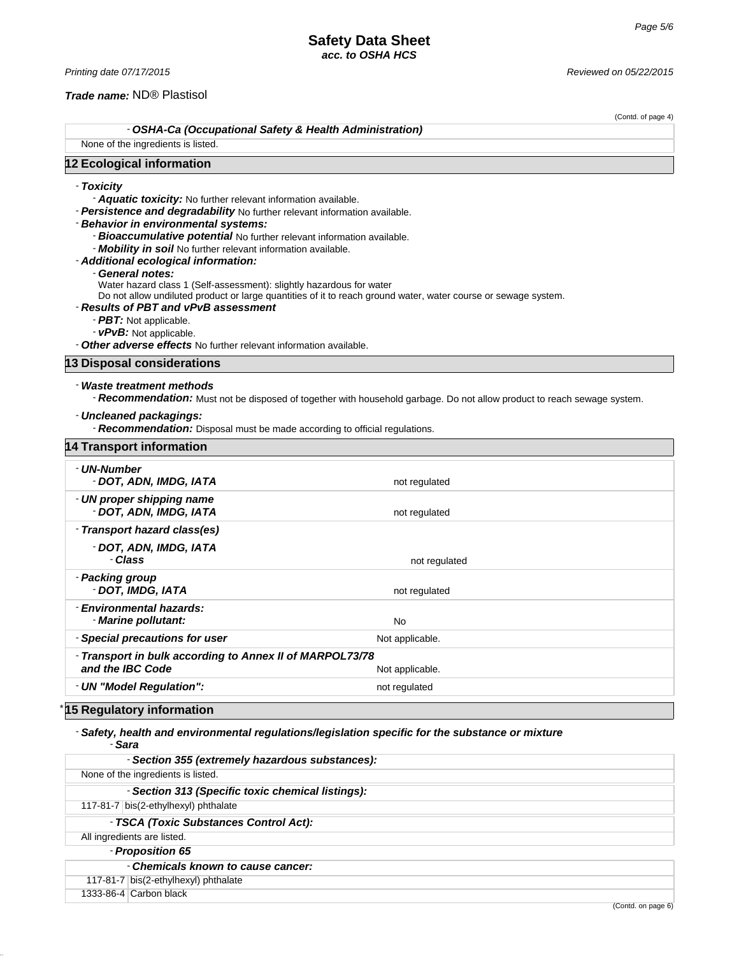(Contd. of page 4)

#### *Trade name:* ND® Plastisol

- *OSHA-Ca (Occupational Safety & Health Administration)*

None of the ingredients is listed.

# **12 Ecological information**

# - *Toxicity*

- *Aquatic toxicity:* No further relevant information available.

- *Persistence and degradability* No further relevant information available.

- *Behavior in environmental systems:*

- *Bioaccumulative potential* No further relevant information available.
- *Mobility in soil* No further relevant information available.
- *Additional ecological information:*
	- General notes:

Water hazard class 1 (Self-assessment): slightly hazardous for water

Do not allow undiluted product or large quantities of it to reach ground water, water course or sewage system.

# - *Results of PBT and vPvB assessment*

- *PBT:* Not applicable.
- *vPvB:* Not applicable.

- *Other adverse effects* No further relevant information available.

#### **13 Disposal considerations**

# - *Waste treatment methods*

- *Recommendation:* Must not be disposed of together with household garbage. Do not allow product to reach sewage system.

#### - *Uncleaned packagings:*

- *Recommendation:* Disposal must be made according to official regulations.

| 14 Transport information                                                     |                 |  |
|------------------------------------------------------------------------------|-----------------|--|
| - UN-Number<br>- DOT, ADN, IMDG, IATA                                        | not regulated   |  |
| - UN proper shipping name<br>- DOT, ADN, IMDG, IATA                          | not regulated   |  |
| - Transport hazard class(es)                                                 |                 |  |
| - DOT, ADN, IMDG, IATA<br>- Class                                            | not regulated   |  |
| - Packing group<br>- DOT, IMDG, IATA                                         | not regulated   |  |
| - Environmental hazards:<br>- Marine pollutant:                              | No              |  |
| - Special precautions for user                                               | Not applicable. |  |
| - Transport in bulk according to Annex II of MARPOL73/78<br>and the IBC Code | Not applicable. |  |
| - UN "Model Regulation":                                                     | not regulated   |  |

# \* **15 Regulatory information**

#### - *Safety, health and environmental regulations/legislation specific for the substance or mixture* - *Sara*

| - Section 355 (extremely hazardous substances):   |
|---------------------------------------------------|
| None of the ingredients is listed.                |
| - Section 313 (Specific toxic chemical listings): |
| 117-81-7 bis(2-ethylhexyl) phthalate              |
| - TSCA (Toxic Substances Control Act):            |
| All ingredients are listed.                       |
| - Proposition 65                                  |
| - Chemicals known to cause cancer:                |
| 117-81-7 bis(2-ethylhexyl) phthalate              |
| 1333-86-4 Carbon black                            |